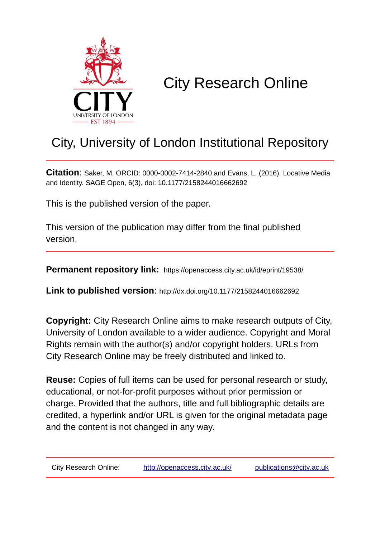

# City Research Online

# City, University of London Institutional Repository

**Citation**: Saker, M. ORCID: 0000-0002-7414-2840 and Evans, L. (2016). Locative Media and Identity. SAGE Open, 6(3), doi: 10.1177/2158244016662692

This is the published version of the paper.

This version of the publication may differ from the final published version.

**Permanent repository link:** https://openaccess.city.ac.uk/id/eprint/19538/

**Link to published version**: http://dx.doi.org/10.1177/2158244016662692

**Copyright:** City Research Online aims to make research outputs of City, University of London available to a wider audience. Copyright and Moral Rights remain with the author(s) and/or copyright holders. URLs from City Research Online may be freely distributed and linked to.

**Reuse:** Copies of full items can be used for personal research or study, educational, or not-for-profit purposes without prior permission or charge. Provided that the authors, title and full bibliographic details are credited, a hyperlink and/or URL is given for the original metadata page and the content is not changed in any way.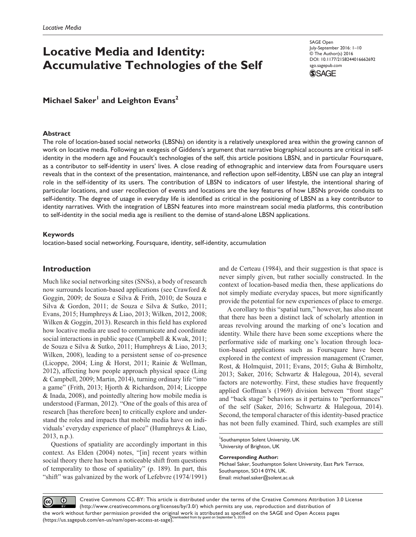# **Locative Media and Identity: Accumulative Technologies of the Self**

SAGE Open July-September 2016: 1–10 © The Author(s) 2016 DOI: 10.1177/2158244016662692 sgo.sagepub.com



**Michael Saker<sup>1</sup> and Leighton Evans<sup>2</sup>** 

## **Abstract**

The role of location-based social networks (LBSNs) on identity is a relatively unexplored area within the growing cannon of work on locative media. Following an exegesis of Giddens's argument that narrative biographical accounts are critical in selfidentity in the modern age and Foucault's technologies of the self, this article positions LBSN, and in particular Foursquare, as a contributor to self-identity in users' lives. A close reading of ethnographic and interview data from Foursquare users reveals that in the context of the presentation, maintenance, and reflection upon self-identity, LBSN use can play an integral role in the self-identity of its users. The contribution of LBSN to indicators of user lifestyle, the intentional sharing of particular locations, and user recollection of events and locations are the key features of how LBSNs provide conduits to self-identity. The degree of usage in everyday life is identified as critical in the positioning of LBSN as a key contributor to identity narratives. With the integration of LBSN features into more mainstream social media platforms, this contribution to self-identity in the social media age is resilient to the demise of stand-alone LBSN applications.

# **Keywords**

location-based social networking, Foursquare, identity, self-identity, accumulation

# **Introduction**

Much like social networking sites (SNSs), a body of research now surrounds location-based applications (see Crawford & Goggin, 2009; de Souza e Silva & Frith, 2010; de Souza e Silva & Gordon, 2011; de Souza e Silva & Sutko, 2011; Evans, 2015; Humphreys & Liao, 2013; Wilken, 2012, 2008; Wilken & Goggin, 2013). Research in this field has explored how locative media are used to communicate and coordinate social interactions in public space (Campbell & Kwak, 2011; de Souza e Silva & Sutko, 2011; Humphreys & Liao, 2013; Wilken, 2008), leading to a persistent sense of co-presence (Licoppe, 2004; Ling & Horst, 2011; Rainie & Wellman, 2012), affecting how people approach physical space (Ling & Campbell, 2009; Martin, 2014), turning ordinary life "into a game" (Frith, 2013; Hjorth & Richardson, 2014; Licoppe & Inada, 2008), and pointedly altering how mobile media is understood (Farman, 2012). "One of the goals of this area of research [has therefore been] to critically explore and understand the roles and impacts that mobile media have on individuals' everyday experience of place" (Humphreys & Liao, 2013, n.p.).

Questions of spatiality are accordingly important in this context. As Elden (2004) notes, "[in] recent years within social theory there has been a noticeable shift from questions of temporality to those of spatiality" (p. 189). In part, this "shift" was galvanized by the work of Lefebvre (1974/1991)

and de Certeau (1984), and their suggestion is that space is never simply given, but rather socially constructed. In the context of location-based media then, these applications do not simply mediate everyday spaces, but more significantly provide the potential for new experiences of place to emerge.

A corollary to this "spatial turn," however, has also meant that there has been a distinct lack of scholarly attention in areas revolving around the marking of one's location and identity. While there have been some exceptions where the performative side of marking one's location through location-based applications such as Foursquare have been explored in the context of impression management (Cramer, Rost, & Holmquist, 2011; Evans, 2015; Guha & Birnholtz, 2013; Saker, 2016; Schwartz & Halegoua, 2014), several factors are noteworthy. First, these studies have frequently applied Goffman's (1969) division between "front stage" and "back stage" behaviors as it pertains to "performances" of the self (Saker, 2016; Schwartz & Halegoua, 2014). Second, the temporal character of this identity-based practice has not been fully examined. Third, such examples are still

**Corresponding Author:**

Michael Saker, Southampton Solent University, East Park Terrace, Southampton, SO14 0YN, UK. Email: [michael.saker@solent.ac.uk](mailto:michael.saker@solent.ac.uk)

Creative Commons CC-BY: This article is distributed under the terms of the Creative Commons Attribution 3.0 License  $\odot$  $_{\rm (cc)}$ (http://www.creativecommons.org/licenses/by/3.0/) which permits any use, reproduction and distribution of the work without further permission provided the original work is attributed as specified on the SAGE and Open Access pages<br>Qownloaded from by guest on September 5, 2016 (https://us.sagepub.com/en-us/nam/open-access-at-sage).

<sup>1</sup> Southampton Solent University, UK <sup>2</sup>University of Brighton, UK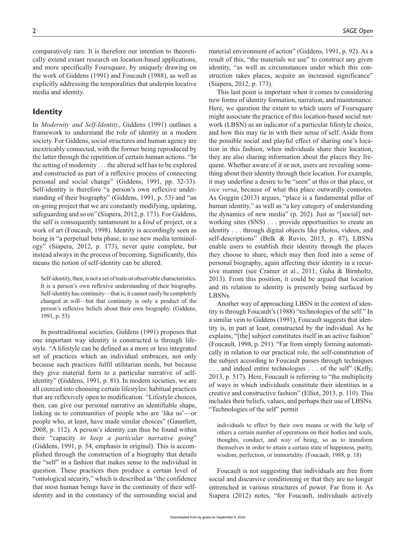comparatively rare. It is therefore our intention to theoretically extend extant research on location-based applications, and more specifically Foursquare, by uniquely drawing on the work of Giddens (1991) and Foucault (1988), as well as explicitly addressing the temporalities that underpin locative media and identity.

# **Identity**

In *Modernity and Self-Identity*, Giddens (1991) outlines a framework to understand the role of identity in a modern society. For Giddens, social structures and human agency are inextricably connected, with the former being reproduced by the latter through the repetition of certain human actions. "In the setting of modernity . . . the altered self has to be explored and constructed as part of a reflexive process of connecting personal and social change" (Giddens, 1991, pp. 32-33). Self-identity is therefore "a person's own reflexive understanding of their biography" (Giddens, 1991, p. 53) and "an on-going project that we are constantly modifying, updating, safeguarding and so on" (Siapera, 2012, p. 173). For Giddens, the self is consequently tantamount to a *kind* of project, or a work of art (Foucault, 1998). Identity is accordingly seen as being in "a perpetual beta phase, to use new media terminology" (Siapera, 2012, p. 173), never quite complete, but instead always in the process of becoming. Significantly, this means the notion of self-identity can be altered.

Self-identity, then, is not a set of traits or observable characteristics. It is a person's own reflexive understanding of their biography. Self-identity has continuity—that is, it cannot easily be completely changed at will—but that continuity is only a product of the person's reflexive beliefs about their own biography. (Giddens, 1991, p. 53)

In posttraditional societies, Giddens (1991) proposes that one important way identity is constructed is through lifestyle. "A lifestyle can be defined as a more or less integrated set of practices which an individual embraces, not only because such practices fulfil utilitarian needs, but because they give material form to a particular narrative of selfidentity" (Giddens, 1991, p. 81). In modern societies, we are all coerced into choosing certain lifestyles: habitual practices that are reflexively open to modification. "Lifestyle choices, then, can give our personal narrative an identifiable shape, linking us to communities of people who are 'like us'—or people who, at least, have made similar choices" (Gauntlett, 2008, p. 112). A person's identity can thus be found within their "capacity *to keep a particular narrative going*" (Giddens, 1991, p. 54, emphasis in original). This is accomplished through the construction of a biography that details the "self" in a fashion that makes sense to the individual in question. These practices then produce a certain level of "ontological security," which is described as "the confidence that most human beings have in the continuity of their selfidentity and in the constancy of the surrounding social and

material environment of action" (Giddens, 1991, p. 92). As a result of this, "the materials we use" to construct any given identity, "as well as circumstances under which this construction takes places, acquire an increased significance" (Siapera, 2012, p. 173).

This last point is important when it comes to considering new forms of identity formation, narration, and maintenance. Here, we question the extent to which users of Foursquare might associate the practice of this location-based social network (LBSN) as an indicator of a particular lifestyle choice, and how this may tie in with their sense of self. Aside from the possible social and playful effect of sharing one's location in this fashion, when individuals share their location, they are also sharing information about the places they frequent. Whether aware of it or not, users are revealing something about their identity through their location. For example, it may underline a desire to be "seen" at this or that place, or *vice versa*, because of what this place outwardly connotes. As Goggin (2013) argues, "place is a fundamental pillar of human identity," as well as "a key category of understanding the dynamics of new media" (p. 202). Just as "[social] networking sites (SNS) . . . provide opportunities to create an identity . . . through digital objects like photos, videos, and self-descriptions" (Belk & Ruvio, 2013, p. 87), LBSNs enable users to establish their identity through the places they choose to share, which may then feed into a sense of personal biography, again affecting their identity in a recursive manner (see Cramer et al., 2011; Guha & Birnholtz, 2013). From this position, it could be argued that location and its relation to identity is presently being surfaced by LBSNs.

Another way of approaching LBSN in the context of identity is through Foucault's (1988) "technologies of the self." In a similar vein to Giddens (1991), Foucault suggests that identity is, in part at least, constructed by the individual. As he explains, "[the] subject constitutes itself in an active fashion" (Foucault, 1998, p. 291). "Far from simply forming automatically in relation to our practical role, the self-constitution of the subject according to Foucault passes through techniques . . . and indeed entire technologies . . . of the self" (Kelly, 2013, p. 517). Here, Foucault is referring to "the multiplicity of ways in which individuals constitute their identities in a creative and constructive fashion" (Elliot, 2013, p. 110). This includes their beliefs, values, and perhaps their use of LBSNs. "Technologies of the self" permit

individuals to effect by their own means or with the help of others a certain number of operations on their bodies and souls, thoughts, conduct, and way of being, so as to transform themselves in order to attain a certain state of happiness, purity, wisdom, perfection, or immortality. (Foucault, 1988, p. 18)

Foucault is not suggesting that individuals are free from social and discursive conditioning or that they are no longer entrenched in various structures of power. Far from it. As Siapera (2012) notes, "for Foucault, individuals actively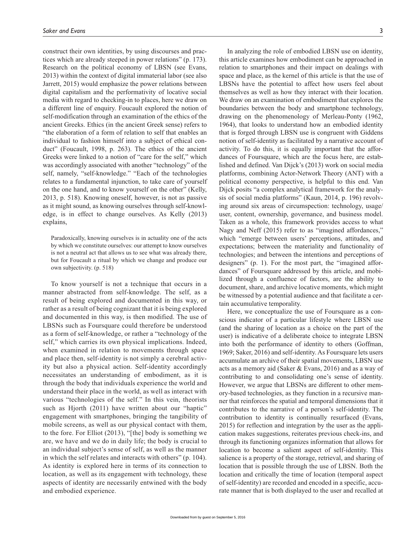construct their own identities, by using discourses and practices which are already steeped in power relations" (p. 173). Research on the political economy of LBSN (see Evans, 2013) within the context of digital immaterial labor (see also Jarrett, 2015) would emphasize the power relations between digital capitalism and the performativity of locative social media with regard to checking-in to places, here we draw on a different line of enquiry. Foucault explored the notion of self-modification through an examination of the ethics of the ancient Greeks. Ethics (in the ancient Greek sense) refers to "the elaboration of a form of relation to self that enables an individual to fashion himself into a subject of ethical conduct" (Foucault, 1998, p. 263). The ethics of the ancient Greeks were linked to a notion of "care for the self," which was accordingly associated with another "technology" of the self, namely, "self-knowledge." "Each of the technologies relates to a fundamental injunction, to take care of yourself on the one hand, and to know yourself on the other" (Kelly, 2013, p. 518). Knowing oneself, however, is not as passive as it might sound, as knowing ourselves through self-knowledge, is in effect to change ourselves. As Kelly (2013) explains,

Paradoxically, knowing ourselves is in actuality one of the acts by which we constitute ourselves: our attempt to know ourselves is not a neutral act that allows us to see what was already there, but for Foucault a ritual by which we change and produce our own subjectivity. (p. 518)

To know yourself is not a technique that occurs in a manner abstracted from self-knowledge. The self, as a result of being explored and documented in this way, or rather as a result of being cognizant that it is being explored and documented in this way, is then modified. The use of LBSNs such as Foursquare could therefore be understood as a form of self-knowledge, or rather a "technology of the self," which carries its own physical implications. Indeed, when examined in relation to movements through space and place then, self-identity is not simply a cerebral activity but also a physical action. Self-identity accordingly necessitates an understanding of embodiment, as it is through the body that individuals experience the world and understand their place in the world, as well as interact with various "technologies of the self." In this vein, theorists such as Hjorth (2011) have written about our "haptic" engagement with smartphones, bringing the tangibility of mobile screens, as well as our physical contact with them, to the fore. For Elliot (2013), "[the] body is something we are, we have and we do in daily life; the body is crucial to an individual subject's sense of self, as well as the manner in which the self relates and interacts with others" (p. 104). As identity is explored here in terms of its connection to location, as well as its engagement with technology, these aspects of identity are necessarily entwined with the body and embodied experience.

In analyzing the role of embodied LBSN use on identity, this article examines how embodiment can be approached in relation to smartphones and their impact on dealings with space and place, as the kernel of this article is that the use of LBSNs have the potential to affect how users feel about themselves as well as how they interact with their location. We draw on an examination of embodiment that explores the boundaries between the body and smartphone technology, drawing on the phenomenology of Merleau-Ponty (1962, 1964), that looks to understand how an embodied identity that is forged through LBSN use is congruent with Giddens notion of self-identity as facilitated by a narrative account of activity. To do this, it is equally important that the affordances of Foursquare, which are the focus here, are established and defined. Van Dijck's (2013) work on social media platforms, combining Actor-Network Theory (ANT) with a political economy perspective, is helpful to this end. Van Dijck posits "a complex analytical framework for the analysis of social media platforms" (Kaun, 2014, p. 196) revolving around six areas of circumspection: technology, usage/ user, content, ownership, governance, and business model. Taken as a whole, this framework provides access to what Nagy and Neff (2015) refer to as "imagined affordances," which "emerge between users' perceptions, attitudes, and expectations; between the materiality and functionality of technologies; and between the intentions and perceptions of designers" (p. 1). For the most part, the "imagined affordances" of Foursquare addressed by this article, and mobilized through a confluence of factors, are the ability to document, share, and archive locative moments, which might be witnessed by a potential audience and that facilitate a certain accumulative temporality.

Here, we conceptualize the use of Foursquare as a conscious indicator of a particular lifestyle where LBSN use (and the sharing of location as a choice on the part of the user) is indicative of a deliberate choice to integrate LBSN into both the performance of identity to others (Goffman, 1969; Saker, 2016) and self-identity. As Foursquare lets users accumulate an archive of their spatial movements, LBSN use acts as a memory aid (Saker & Evans, 2016) and as a way of contributing to and consolidating one's sense of identity. However, we argue that LBSNs are different to other memory-based technologies, as they function in a recursive manner that reinforces the spatial and temporal dimensions that it contributes to the narrative of a person's self-identity. The contribution to identity is continually resurfaced (Evans, 2015) for reflection and integration by the user as the application makes suggestions, reiterates previous check-ins, and through its functioning organizes information that allows for location to become a salient aspect of self-identity. This salience is a property of the storage, retrieval, and sharing of location that is possible through the use of LBSN. Both the location and critically the time of location (temporal aspect of self-identity) are recorded and encoded in a specific, accurate manner that is both displayed to the user and recalled at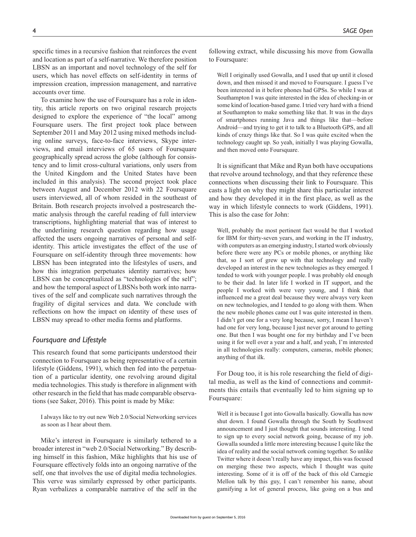specific times in a recursive fashion that reinforces the event and location as part of a self-narrative. We therefore position LBSN as an important and novel technology of the self for users, which has novel effects on self-identity in terms of impression creation, impression management, and narrative accounts over time.

To examine how the use of Foursquare has a role in identity, this article reports on two original research projects designed to explore the experience of "the local" among Foursquare users. The first project took place between September 2011 and May 2012 using mixed methods including online surveys, face-to-face interviews, Skype interviews, and email interviews of 65 users of Foursquare geographically spread across the globe (although for consistency and to limit cross-cultural variations, only users from the United Kingdom and the United States have been included in this analysis). The second project took place between August and December 2012 with 22 Foursquare users interviewed, all of whom resided in the southeast of Britain. Both research projects involved a postresearch thematic analysis through the careful reading of full interview transcriptions, highlighting material that was of interest to the underlining research question regarding how usage affected the users ongoing narratives of personal and selfidentity. This article investigates the effect of the use of Foursquare on self-identity through three movements: how LBSN has been integrated into the lifestyles of users, and how this integration perpetuates identity narratives; how LBSN can be conceptualized as "technologies of the self"; and how the temporal aspect of LBSNs both work into narratives of the self and complicate such narratives through the fragility of digital services and data. We conclude with reflections on how the impact on identity of these uses of LBSN may spread to other media forms and platforms.

### *Foursquare and Lifestyle*

This research found that some participants understood their connection to Foursquare as being representative of a certain lifestyle (Giddens, 1991), which then fed into the perpetuation of a particular identity, one revolving around digital media technologies. This study is therefore in alignment with other research in the field that has made comparable observations (see Saker, 2016). This point is made by Mike:

I always like to try out new Web 2.0/Social Networking services as soon as I hear about them.

Mike's interest in Foursquare is similarly tethered to a broader interest in "web 2.0/Social Networking." By describing himself in this fashion, Mike highlights that his use of Foursquare effectively folds into an ongoing narrative of the self, one that involves the use of digital media technologies. This verve was similarly expressed by other participants. Ryan verbalizes a comparable narrative of the self in the

Well I originally used Gowalla, and I used that up until it closed down, and then missed it and moved to Foursquare. I guess I've been interested in it before phones had GPSs. So while I was at Southampton I was quite interested in the idea of checking-in or some kind of location-based game. I tried very hard with a friend at Southampton to make something like that. It was in the days of smartphones running Java and things like that—before Android—and trying to get it to talk to a Bluetooth GPS, and all kinds of crazy things like that. So I was quite excited when the technology caught up. So yeah, initially I was playing Gowalla, and then moved onto Foursquare.

It is significant that Mike and Ryan both have occupations that revolve around technology, and that they reference these connections when discussing their link to Foursquare. This casts a light on why they might share this particular interest and how they developed it in the first place, as well as the way in which lifestyle connects to work (Giddens, 1991). This is also the case for John:

Well, probably the most pertinent fact would be that I worked for IBM for thirty-seven years, and working in the IT industry, with computers as an emerging industry, I started work obviously before there were any PCs or mobile phones, or anything like that, so I sort of grew up with that technology and really developed an interest in the new technologies as they emerged. I tended to work with younger people. I was probably old enough to be their dad. In later life I worked in IT support, and the people I worked with were very young, and I think that influenced me a great deal because they were always very keen on new technologies, and I tended to go along with them. When the new mobile phones came out I was quite interested in them. I didn't get one for a very long because, sorry, I mean I haven't had one for very long, because I just never got around to getting one. But then I was bought one for my birthday and I've been using it for well over a year and a half, and yeah, I'm interested in all technologies really: computers, cameras, mobile phones; anything of that ilk.

For Doug too, it is his role researching the field of digital media, as well as the kind of connections and commitments this entails that eventually led to him signing up to Foursquare:

Well it is because I got into Gowalla basically. Gowalla has now shut down. I found Gowalla through the South by Southwest announcement and I just thought that sounds interesting. I tend to sign up to every social network going, because of my job. Gowalla sounded a little more interesting because I quite like the idea of reality and the social network coming together. So unlike Twitter where it doesn't really have any impact, this was focused on merging these two aspects, which I thought was quite interesting. Some of it is off of the back of this old Carnegie Mellon talk by this guy, I can't remember his name, about gamifying a lot of general process, like going on a bus and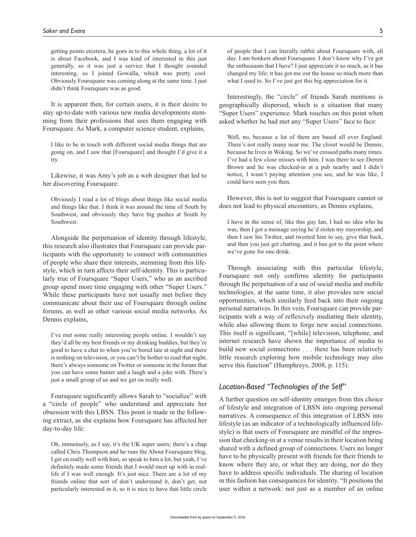getting points etcetera, he goes in to this whole thing, a lot of it is about Facebook, and I was kind of interested in this just generally, so it was just a service that I thought sounded interesting, so I joined Gowalla, which was pretty cool. Obviously Foursquare was coming along at the same time. I just didn't think Foursquare was as good.

It is apparent then, for certain users, it is their desire to stay up-to-date with various new media developments stemming from their professions that sees them engaging with Foursquare. As Mark, a computer science student, explains,

I like to be in touch with different social media things that are going on, and I saw that [Foursquare] and thought I'd give it a try.

Likewise, it was Amy's job as a web designer that led to her discovering Foursquare:

Obviously I read a lot of blogs about things like social media and things like that. I think it was around the time of South by Southwest, and obviously they have big pushes at South by Southwest.

Alongside the perpetuation of identity through lifestyle, this research also illustrates that Foursquare can provide participants with the opportunity to connect with communities of people who share their interests, stemming from this lifestyle, which in turn affects their self-identity. This is particularly true of Foursquare "Super Users," who as an ascribed group spend more time engaging with other "Super Users." While these participants have not usually met before they communicate about their use of Foursquare through online forums, as well as other various social media networks. As Dennis explains,

I've met some really interesting people online. I wouldn't say they'd all be my best friends or my drinking buddies, but they're good to have a chat to when you're bored late at night and there is nothing on television, or you can't be bother to read that night; there's always someone on Twitter or someone in the forum that you can have some banter and a laugh and a joke with. There's just a small group of us and we get on really well.

Foursquare significantly allows Sarah to "socialize" with a "circle of people" who understand and appreciate her obsession with this LBSN. This point is made in the following extract, as she explains how Foursquare has affected her day-to-day life:

Oh, immensely, as I say, it's the UK super users; there's a chap called Chris Thompson and he runs the About Foursquare blog, I get on really well with him, so speak to him a lot, but yeah, I've definitely made some friends that I would meet up with in reallife if I was well enough. It's just nice. There are a lot of my friends online that sort of don't understand it, don't get, not particularly interested in it, so it is nice to have that little circle of people that I can literally rabbit about Foursquare with, all day. I am bonkers about Foursquare. I don't know why I've got the enthusiasm that I have? I just appreciate it so much, as it has changed my life; it has got me out the house so much more than what I used to. So I've just got this big appreciation for it.

Interestingly, the "circle" of friends Sarah mentions is geographically dispersed, which is a situation that many "Super Users" experience. Mark touches on this point when asked whether he had met any "Super Users" face to face:

Well, no, because a lot of them are based all over England. There's not really many near me. The closet would be Dennis, because he lives in Woking. So we've crossed paths many times. I've had a few close misses with him. I was there to see Derren Brown and he was checked-in at a pub nearby and I didn't notice, I wasn't paying attention you see, and he was like, I could have seen you then.

However, this is not to suggest that Foursquare cannot or does not lead to physical encounters, as Dennis explains,

I have in the sense of, like this guy Ian, I had no idea who he was, then I got a message saying he'd stolen my mayorship, and then I saw his Twitter, and tweeted him to say, give that back, and then you just get chatting, and it has got to the point where we've gone for one drink.

Through associating with this particular lifestyle, Foursquare not only confirms identity for participants through the perpetuation of a use of social media and mobile technologies, at the same time, it also provides new social opportunities, which similarly feed back into their ongoing personal narratives. In this vein, Foursquare can provide participants with a way of reflexively mediating their identity, while also allowing them to forge new social connections. This itself is significant, "[while] television, telephone, and internet research have shown the importance of media to build new social connections . . . there has been relatively little research exploring how mobile technology may also serve this function" (Humphreys, 2008, p. 115).

# *Location-Based "Technologies of the Self"*

A further question on self-identity emerges from this choice of lifestyle and integration of LBSN into ongoing personal narratives. A consequence of this integration of LBSN into lifestyle (as an indicator of a technologically influenced lifestyle) is that users of Foursquare are mindful of the impression that checking-in at a venue results in their location being shared with a defined group of connections. Users no longer have to be physically present with friends for their friends to know where they are, or what they are doing, nor do they have to address specific individuals. The sharing of location in this fashion has consequences for identity. "It positions the user within a network: not just as a member of an online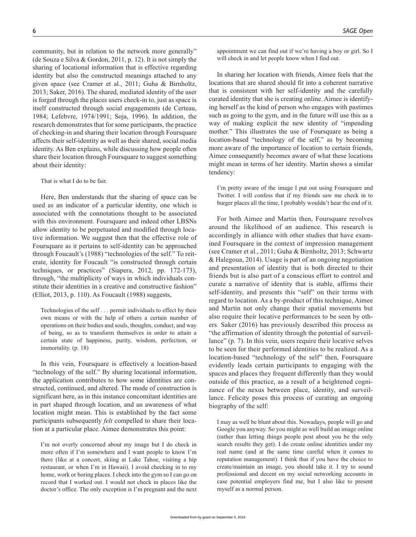community, but in relation to the network more generally" (de Souza e Silva & Gordon, 2011, p. 12). It is not simply the sharing of locational information that is effective regarding identity but also the constructed meanings attached to any given space (see Cramer et al., 2011; Guha & Birnholtz, 2013; Saker, 2016). The shared, mediated identity of the user is forged through the places users check-in to, just as space is itself constructed through social engagements (de Certeau, 1984; Lefebvre, 1974/1991; Soja, 1996). In addition, the research demonstrates that for some participants, the practice of checking-in and sharing their location through Foursquare affects their self-identity as well as their shared, social media identity. As Ben explains, while discussing how people often share their location through Foursquare to suggest something about their identity:

#### That is what I do to be fair.

Here, Ben understands that the sharing of space can be used as an indicator of a particular identity, one which is associated with the connotations thought to be associated with this environment. Foursquare and indeed other LBSNs allow identity to be perpetuated and modified through locative information. We suggest then that the effective role of Foursquare as it pertains to self-identity can be approached through Foucault's (1988) "technologies of the self." To reiterate, identity for Foucault "is constructed through certain techniques, or practices" (Siapera, 2012, pp. 172-173), through, "the multiplicity of ways in which individuals constitute their identities in a creative and constructive fashion" (Elliot, 2013, p. 110). As Foucault (1988) suggests,

Technologies of the self . . . permit individuals to effect by their own means or with the help of others a certain number of operations on their bodies and souls, thoughts, conduct, and way of being, so as to transform themselves in order to attain a certain state of happiness, purity, wisdom, perfection, or immortality. (p. 18)

In this vein, Foursquare is effectively a location-based "technology of the self." By sharing locational information, the application contributes to how some identities are constructed, continued, and altered. The mode of construction is significant here, as in this instance concomitant identities are in part shaped through location, and an awareness of what location might mean. This is established by the fact some participants subsequently *felt* compelled to share their location at a particular place. Aimee demonstrates this point:

I'm not overly concerned about my image but I do check in more often if I'm somewhere and I want people to know I'm there (like at a concert, skiing at Lake Tahoe, visiting a hip restaurant, or when I'm in Hawaii). I avoid checking in to my home, work or boring places. I check into the gym so I can go on record that I worked out. I would not check in places like the doctor's office. The only exception is I'm pregnant and the next

appointment we can find out if we're having a boy or girl. So I will check in and let people know when I find out.

In sharing her location with friends, Aimee feels that the locations that are shared should fit into a coherent narrative that is consistent with her self-identity and the carefully curated identity that she is creating online. Aimee is identifying herself as the kind of person who engages with pastimes such as going to the gym, and in the future will use this as a way of making explicit the new identity of "impending mother." This illustrates the use of Foursquare as being a location-based "technology of the self," as by becoming more aware of the importance of location to certain friends, Aimee consequently becomes aware of what these locations might mean in terms of her identity. Martin shows a similar tendency:

I'm pretty aware of the image I put out using Foursquare and Twitter. I will confess that if my friends saw me check in to burger places all the time, I probably wouldn't hear the end of it.

For both Aimee and Martin then, Foursquare revolves around the likelihood of an audience. This research is accordingly in alliance with other studies that have examined Foursquare in the context of impression management (see Cramer et al., 2011; Guha & Birnholtz, 2013; Schwartz & Halegoua, 2014). Usage is part of an ongoing negotiation and presentation of identity that is both directed to their friends but is also part of a conscious effort to control and curate a narrative of identity that is stable, affirms their self-identity, and presents this "self" on their terms with regard to location. As a by-product of this technique, Aimee and Martin not only change their spatial movements but also require their locative performances to be seen by others. Saker (2016) has previously described this process as "the affirmation of identity through the potential of surveillance" (p. 7). In this vein, users require their locative selves to be seen for their performed identities to be realized. As a location-based "technology of the self" then, Foursquare evidently leads certain participants to engaging with the spaces and places they frequent differently than they would outside of this practice, as a result of a heightened cognizance of the nexus between place, identity, and surveillance. Felicity poses this process of curating an ongoing biography of the self:

I may as well be blunt about this. Nowadays, people will go and Google you anyway. So you might as well build an image online (rather than letting things people post about you be the only search results they get). I do create online identities under my real name (and at the same time careful when it comes to reputation management). I think that if you have the choice to create/maintain an image, you should take it. I try to sound professional and decent on my social networking accounts in case potential employers find me, but I also like to present myself as a normal person.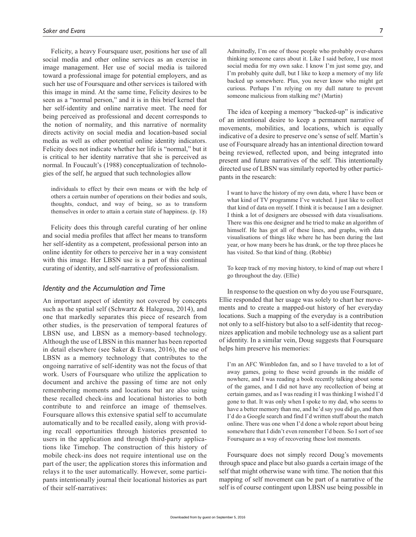Felicity, a heavy Foursquare user, positions her use of all social media and other online services as an exercise in image management. Her use of social media is tailored toward a professional image for potential employers, and as such her use of Foursquare and other services is tailored with this image in mind. At the same time, Felicity desires to be seen as a "normal person," and it is in this brief kernel that her self-identity and online narrative meet. The need for being perceived as professional and decent corresponds to the notion of normality, and this narrative of normality directs activity on social media and location-based social media as well as other potential online identity indicators. Felicity does not indicate whether her life is "normal," but it is critical to her identity narrative that she is perceived as normal. In Foucault's (1988) conceptualization of technologies of the self, he argued that such technologies allow

individuals to effect by their own means or with the help of others a certain number of operations on their bodies and souls, thoughts, conduct, and way of being, so as to transform themselves in order to attain a certain state of happiness. (p. 18)

Felicity does this through careful curating of her online and social media profiles that affect her means to transform her self-identity as a competent, professional person into an online identity for others to perceive her in a way consistent with this image. Her LBSN use is a part of this continual curating of identity, and self-narrative of professionalism.

#### *Identity and the Accumulation and Time*

An important aspect of identity not covered by concepts such as the spatial self (Schwartz & Halegoua, 2014), and one that markedly separates this piece of research from other studies, is the preservation of temporal features of LBSN use, and LBSN as a memory-based technology. Although the use of LBSN in this manner has been reported in detail elsewhere (see Saker & Evans, 2016), the use of LBSN as a memory technology that contributes to the ongoing narrative of self-identity was not the focus of that work. Users of Foursquare who utilize the application to document and archive the passing of time are not only remembering moments and locations but are also using these recalled check-ins and locational histories to both contribute to and reinforce an image of themselves. Foursquare allows this extensive spatial self to accumulate automatically and to be recalled easily, along with providing recall opportunities through histories presented to users in the application and through third-party applications like Timehop. The construction of this history of mobile check-ins does not require intentional use on the part of the user; the application stores this information and relays it to the user automatically. However, some participants intentionally journal their locational histories as part of their self-narratives:

Admittedly, I'm one of those people who probably over-shares thinking someone cares about it. Like I said before, I use most social media for my own sake. I know I'm just some guy, and I'm probably quite dull, but I like to keep a memory of my life backed up somewhere. Plus, you never know who might get curious. Perhaps I'm relying on my dull nature to prevent someone malicious from stalking me? (Martin)

The idea of keeping a memory "backed-up" is indicative of an intentional desire to keep a permanent narrative of movements, mobilities, and locations, which is equally indicative of a desire to preserve one's sense of self. Martin's use of Foursquare already has an intentional direction toward being reviewed, reflected upon, and being integrated into present and future narratives of the self. This intentionally directed use of LBSN was similarly reported by other participants in the research:

I want to have the history of my own data, where I have been or what kind of TV programme I've watched. I just like to collect that kind of data on myself. I think it is because I am a designer. I think a lot of designers are obsessed with data visualisations. There was this one designer and he tried to make an algorithm of himself. He has got all of these lines, and graphs, with data visualisations of things like where he has been during the last year, or how many beers he has drank, or the top three places he has visited. So that kind of thing. (Robbie)

To keep track of my moving history, to kind of map out where I go throughout the day. (Ellie)

In response to the question on why do you use Foursquare, Ellie responded that her usage was solely to chart her movements and to create a mapped-out history of her everyday locations. Such a mapping of the everyday is a contribution not only to a self-history but also to a self-identity that recognizes application and mobile technology use as a salient part of identity. In a similar vein, Doug suggests that Foursquare helps him preserve his memories:

I'm an AFC Wimbledon fan, and so I have traveled to a lot of away games, going to these weird grounds in the middle of nowhere, and I was reading a book recently talking about some of the games, and I did not have any recollection of being at certain games, and as I was reading it I was thinking I wished I'd gone to that. It was only when I spoke to my dad, who seems to have a better memory than me, and he'd say you did go, and then I'd do a Google search and find I'd written stuff about the match online. There was one when I'd done a whole report about being somewhere that I didn't even remember I'd been. So I sort of see Foursquare as a way of recovering these lost moments.

Foursquare does not simply record Doug's movements through space and place but also guards a certain image of the self that might otherwise wane with time. The notion that this mapping of self movement can be part of a narrative of the self is of course contingent upon LBSN use being possible in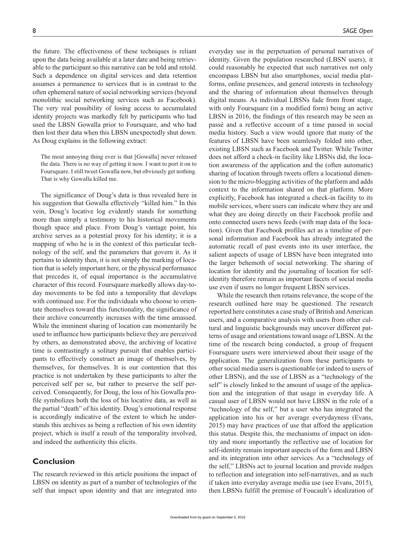the future. The effectiveness of these techniques is reliant upon the data being available at a later date and being retrievable to the participant so this narrative can be told and retold. Such a dependence on digital services and data retention assumes a permanence to services that is in contrast to the often ephemeral nature of social networking services (beyond monolithic social networking services such as Facebook). The very real possibility of losing access to accumulated identity projects was markedly felt by participants who had used the LBSN Gowalla prior to Foursquare, and who had then lost their data when this LBSN unexpectedly shut down. As Doug explains in the following extract:

The most annoying thing ever is that [Gowalla] never released the data. There is no way of getting it now. I want to port it on to Foursquare. I still tweet Gowalla now, but obviously get nothing. That is why Gowalla killed me.

The significance of Doug's data is thus revealed here in his suggestion that Gowalla effectively "killed him." In this vein, Doug's locative log evidently stands for something more than simply a testimony to his historical movements though space and place. From Doug's vantage point, his archive serves as a potential proxy for his identity; it is a mapping of who he is in the context of this particular technology of the self, and the parameters that govern it. As it pertains to identity then, it is not simply the marking of location that is solely important here, or the physical performance that precedes it, of equal importance is the accumulative character of this record. Foursquare markedly allows day-today movements to be fed into a temporality that develops with continued use. For the individuals who choose to orientate themselves toward this functionality, the significance of their archive concurrently increases with the time amassed. While the imminent sharing of location can momentarily be used to influence how participants believe they are perceived by others, as demonstrated above, the archiving of locative time is contrastingly a solitary pursuit that enables participants to effectively construct an image of themselves, by themselves, for themselves. It is our contention that this practice is not undertaken by these participants to alter the perceived self per se, but rather to preserve the self perceived. Consequently, for Doug, the loss of his Gowalla profile symbolizes both the loss of his locative data, as well as the partial "death" of his identity. Doug's emotional response is accordingly indicative of the extent to which he understands this archives as being a reflection of his own identity project, which is itself a result of the temporality involved, and indeed the authenticity this elicits.

### **Conclusion**

The research reviewed in this article positions the impact of LBSN on identity as part of a number of technologies of the self that impact upon identity and that are integrated into

everyday use in the perpetuation of personal narratives of identity. Given the population researched (LBSN users), it could reasonably be expected that such narratives not only encompass LBSN but also smartphones, social media platforms, online presences, and general interests in technology and the sharing of information about themselves through digital means. As individual LBSNs fade from front stage, with only Foursquare (in a modified form) being an active LBSN in 2016, the findings of this research may be seen as passé and a reflective account of a time passed in social media history. Such a view would ignore that many of the features of LBSN have been seamlessly folded into other, existing LBSN such as Facebook and Twitter. While Twitter does not afford a check-in facility like LBSNs did, the location awareness of the application and the (often automatic) sharing of location through tweets offers a locational dimension to the micro-blogging activities of the platform and adds context to the information shared on that platform. More explicitly, Facebook has integrated a check-in facility to its mobile services, where users can indicate where they are and what they are doing directly on their Facebook profile and onto connected users news feeds (with map data of the location). Given that Facebook profiles act as a timeline of personal information and Facebook has already integrated the automatic recall of past events into its user interface, the salient aspects of usage of LBSN have been integrated into the larger behemoth of social networking. The sharing of location for identity and the journaling of location for selfidentity therefore remain as important facets of social media use even if users no longer frequent LBSN services.

While the research then retains relevance, the scope of the research outlined here may be questioned. The research reported here constitutes a case study of British and American users, and a comparative analysis with users from other cultural and linguistic backgrounds may uncover different patterns of usage and orientations toward usage of LBSN. At the time of the research being conducted, a group of frequent Foursquare users were interviewed about their usage of the application. The generalization from these participants to other social media users is questionable (or indeed to users of other LBSN), and the use of LBSN as a "technology of the self" is closely linked to the amount of usage of the application and the integration of that usage in everyday life. A casual user of LBSN would not have LBSN in the role of a "technology of the self," but a user who has integrated the application into his or her average everydayness (Evans, 2015) may have practices of use that afford the application this status. Despite this, the mechanisms of impact on identity and more importantly the reflective use of location for self-identity remain important aspects of the form and LBSN and its integration into other services. As a "technology of the self," LBSNs act to journal location and provide nudges to reflection and integration into self-narratives, and as such if taken into everyday average media use (see Evans, 2015), then LBSNs fulfill the premise of Foucault's idealization of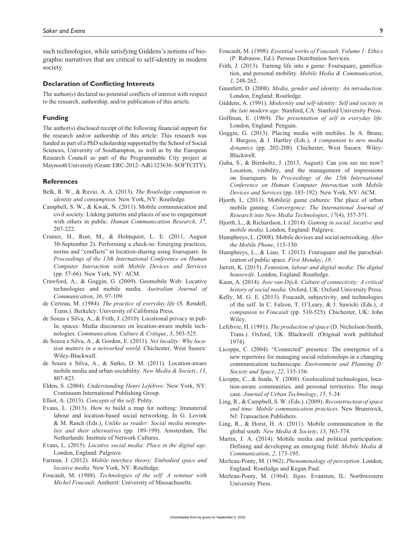such technologies, while satisfying Giddens's notions of biographic narratives that are critical to self-identity in modern society.

#### **Declaration of Conflicting Interests**

The author(s) declared no potential conflicts of interest with respect to the research, authorship, and/or publication of this article.

#### **Funding**

The author(s) disclosed receipt of the following financial support for the research and/or authorship of this article: This research was funded as part of a PhD scholarship supported by the School of Social Sciences, University of Southampton, as well as by the European Research Council as part of the Programmable City project at Maynooth University (Grant: ERC-2012–AdG 323636–SOFTCITY).

#### **References**

- Belk, R. W., & Ruvio, A. A. (2013). *The Routledge companion to identity and consumption*. New York, NY: Routledge.
- Campbell, S. W., & Kwak, N. (2011). Mobile communication and civil society: Linking patterns and places of use to engagement with others in public. *Human Communication Research*, *37*, 207-222.
- Cramer, H., Rost, M., & Holmquist, L. E. (2011, August 30-September 2). Performing a check-in: Emerging practices, norms and "conflicts" in location-sharing using foursquare. In *Proceedings of the 13th International Conference on Human Computer Interaction with Mobile Devices and Services* (pp. 57-66). New York, NY: ACM.
- Crawford, A., & Goggin, G. (2009). Geomobile Web: Locative technologies and mobile media. *Australian Journal of Communication*, *36*, 97-109.
- de Certeau, M. (1984). *The practice of everyday life* (S. Rendell, Trans.). Berkeley: University of California Press.
- de Souza e Silva, A., & Frith, J. (2010). Locational privacy in public spaces: Media discourses on location-aware mobile technologies. *Communication, Culture & Critique*, *3*, 503-525.
- de Souza e Silva, A., & Gordon, E. (2011). *Net locality: Why location matters in a networked world*. Chichester, West Sussex: Wiley-Blackwell.
- de Souza e Silva, A., & Sutko, D. M. (2011). Location-aware mobile media and urban sociability. *New Media & Society*, *13*, 807-823.
- Elden, S. (2004). *Understanding Henri Lefebvre*. New York, NY: Continuum International Publishing Group.
- Elliot, A. (2013). *Concepts of the self*. Polity.
- Evans, L. (2013). How to build a map for nothing: Immaterial labour and location-based social networking. In G. Lovink & M. Rasch (Eds.), *Unlike us reader: Social media monopolies and their alternatives* (pp. 189-199). Amsterdam, The Netherlands: Institute of Network Cultures.
- Evans, L. (2015). *Locative social media: Place in the digital age*. London, England: Palgrave.
- Farman, J. (2012). *Mobile interface theory: Embodied space and locative media*. New York, NY: Routledge.
- Foucault, M. (1988). *Technologies of the self: A seminar with Michel Foucault*. Amherst: University of Massachusetts.
- Foucault, M. (1998). *Essential works of Foucault, Volume 1: Ethics* (P. Rabinow, Ed.). Perseus Distribution Services.
- Frith, J. (2013). Turning life into a game: Foursquare, gamification, and personal mobility. *Mobile Media & Communication*, *1*, 248-262.
- Gauntlett, D. (2008). *Media, gender and identity: An introduction*. London, England: Routledge.
- Giddens, A. (1991). *Modernity and self-identity: Self and society in the late modern age*. Stanford, CA: Stanford University Press.
- Goffman, E. (1969). *The presentation of self in everyday life*. London, England: Penguin.
- Goggin, G. (2013). Placing media with mobiles. In A. Bruns, J. Burgess, & J. Hartley (Eds.), *A companion to new media dynamics* (pp. 202-208). Chichester, West Sussex: Wiley-Blackwell.
- Guha, S., & Birnholtz, J. (2013, August). Can you see me now? Location, visibility, and the management of impressions on foursquare. In *Proceedings of the 15th International Conference on Human Computer Interaction with Mobile Devices and Services* (pp. 183-192). New York, NY: ACM.
- Hjorth, L. (2011). Mobile@ game cultures: The place of urban mobile gaming. *Convergence: The International Journal of Research into New Media Technologies*, *17*(4), 357-371.
- Hjorth, L., & Richardson, I. (2014). *Gaming in social, locative and mobile media*. London, England: Palgrave.
- Humphreys, L. (2008). Mobile devices and social networking. *After the Mobile Phone*, 115-130.
- Humphreys, L., & Liao, T. (2013). Foursquare and the parochialization of public space. *First Monday*, *18*.
- Jarrett, K. (2015). *Feminism, labour and digital media: The digital housewife*. London, England: Routledge.
- Kaun, A. (2014). *Jose van Dijck: Culture of connectivity: A critical history of social media*. Oxford, UK: Oxford University Press.
- Kelly, M. G. E. (2013). Foucault, subjectivity, and technologies of the self. In C. Falzon, T. O'Leary, & J. Sawicki (Eds.), *A companion to Foucault* (pp. 510-525). Chichester, UK: John Wiley.
- Lefebvre, H. (1991). *The production of space* (D. Nicholson-Smith, Trans.). Oxford, UK: Blackwell. (Original work published 1974).
- Licoppe, C. (2004). "Connected" presence: The emergence of a new repertoire for managing social relationships in a changing communication technoscape. *Environment and Planning D: Society and Space*, *22*, 135-156.
- Licoppe, C., & Inada, Y. (2008). Geolocalized technologies, location-aware communities, and personal territories: The mogi case. *Journal of Urban Technology*, *15*, 5-24.
- Ling, R., & Campbell, S. W. (Eds.). (2009). *Reconstruction of space and time: Mobile communication practices*. New Brunswick, NJ: Transaction Publishers.
- Ling, R., & Horst, H. A. (2011). Mobile communication in the global south. *New Media & Society*, *13*, 363-374.
- Martin, J. A. (2014). Mobile media and political participation: Defining and developing an emerging field. *Mobile Media & Communication*, *2*, 173-195.
- Merleau-Ponty, M. (1962). *Phenomenology of perception*. London, England: Routledge and Kegan Paul.
- Merleau-Ponty, M. (1964). *Signs*. Evanston, IL: Northwestern University Press.